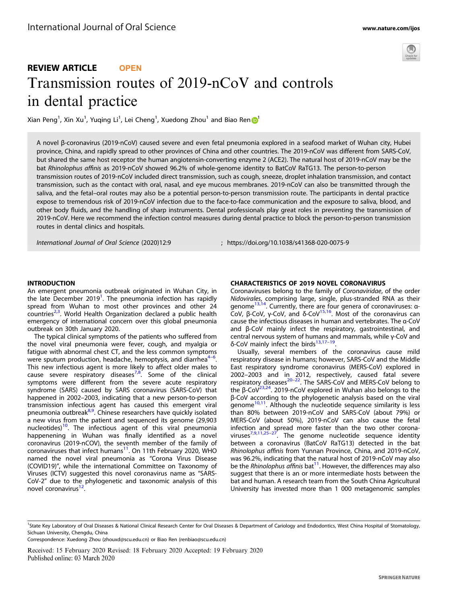

# REVIEW ARTICLE **OPEN** Transmission routes of 2019-nCoV and controls in dental practice

Xia[n](http://orcid.org/0000-0003-4215-2873) Peng<sup>[1](http://orcid.org/0000-0003-4215-2873)</sup>, Xin Xu<sup>1</sup>, Yuqing Li<sup>1</sup>, Lei Cheng<sup>1</sup>, Xuedong Zhou<sup>1</sup> and Biao Ren

A novel β-coronavirus (2019-nCoV) caused severe and even fetal pneumonia explored in a seafood market of Wuhan city, Hubei province, China, and rapidly spread to other provinces of China and other countries. The 2019-nCoV was different from SARS-CoV, but shared the same host receptor the human angiotensin-converting enzyme 2 (ACE2). The natural host of 2019-nCoV may be the bat Rhinolophus affinis as 2019-nCoV showed 96.2% of whole-genome identity to BatCoV RaTG13. The person-to-person transmission routes of 2019-nCoV included direct transmission, such as cough, sneeze, droplet inhalation transmission, and contact transmission, such as the contact with oral, nasal, and eye mucous membranes. 2019-nCoV can also be transmitted through the saliva, and the fetal–oral routes may also be a potential person-to-person transmission route. The participants in dental practice expose to tremendous risk of 2019-nCoV infection due to the face-to-face communication and the exposure to saliva, blood, and other body fluids, and the handling of sharp instruments. Dental professionals play great roles in preventing the transmission of 2019-nCoV. Here we recommend the infection control measures during dental practice to block the person-to-person transmission routes in dental clinics and hospitals.

International Journal of Oral Science (2020) 12:9 ; https://doi.org/10.1038/s41368-020-0075-9

#### **INTRODUCTION**

nense besteste<br>An emergent pneumonia outbreak originated in Wuhan City, in the late December 20[1](#page-4-0)9<sup>1</sup>. The pneumonia infection has rapidly spread from Wuhan to most other provinces and other 24 countries<sup>[2,3](#page-4-0)</sup>. World Health Organization declared a public health emergency of international concern over this global pneumonia outbreak on 30th January 2020.

The typical clinical symptoms of the patients who suffered from the novel viral pneumonia were fever, cough, and myalgia or fatigue with abnormal chest CT, and the less common symptoms were sputum production, headache, hemoptysis, and diarrhea $4-6$  $4-6$  $4-6$ . . This new infectious agent is more likely to affect older males to cause severe respiratory diseases<sup>[7](#page-4-0),[8](#page-4-0)</sup>. Some of the clinical symptoms were different from the severe acute respiratory syndrome (SARS) caused by SARS coronavirus (SARS-CoV) that happened in 2002–2003, indicating that a new person-to-person transmission infectious agent has caused this emergent viral pneumonia outbreak<sup>[8](#page-4-0),[9](#page-4-0)</sup>. Chinese researchers have quickly isolated a new virus from the patient and sequenced its genome (29,903 nucleotides)<sup>[10](#page-4-0)</sup>. The infectious agent of this viral pneumonia happenening in Wuhan was finally identified as a novel coronavirus (2019-nCOV), the seventh member of the family of coronaviruses that infect humans<sup>[11](#page-4-0)</sup>. On 11th February 2020, WHO named the novel viral pneumonia as "Corona Virus Disease (COVID19)", while the international Committee on Taxonomy of Viruses (ICTV) suggested this novel coronavirus name as "SARS-CoV-2" due to the phylogenetic and taxonomic analysis of this novel coronavirus<sup>12</sup>.

Coronaviruses belong to the family of Coronaviridae, of the order Nidovirales, comprising large, single, plus-stranded RNA as their genome<sup>13,14</sup>. Currently, there are four genera of coronaviruses: α-CoV, β-CoV, γ-CoV, and δ-CoV[15,16.](#page-4-0) Most of the coronavirus can cause the infectious diseases in human and vertebrates. The α-CoV and β-CoV mainly infect the respiratory, gastrointestinal, and central nervous system of humans and mammals, while γ-CoV and δ-CoV mainly infect the birds[13,17](#page-4-0)–[19.](#page-4-0)

Usually, several members of the coronavirus cause mild respiratory disease in humans; however, SARS-CoV and the Middle East respiratory syndrome coronavirus (MERS-CoV) explored in 2002–2003 and in 2012, respectively, caused fatal severe respiratory diseases $20-22$  $20-22$  $20-22$ . The SARS-CoV and MERS-CoV belong to the β-CoV<sup>23,24</sup>. 2019-nCoV explored in Wuhan also belongs to the β-CoV according to the phylogenetic analysis based on the viral genome $10,11$ . Although the nucleotide sequence similarity is less than 80% between 2019-nCoV and SARS-CoV (about 79%) or MERS-CoV (about 50%), 2019-nCoV can also cause the fetal infection and spread more faster than the two other coronaviruses $7,9,11,25-27$  $7,9,11,25-27$  $7,9,11,25-27$ . The genome nucleotide sequence identity between a coronavirus (BatCoV RaTG13) detected in the bat Rhinolophus affinis from Yunnan Province, China, and 2019-nCoV, was 96.2%, indicating that the natural host of 2019-nCoV may also be the Rhinolophus affinis bat<sup>11</sup>. However, the differences may also suggest that there is an or more intermediate hosts between the bat and human. A research team from the South China Agricultural University has invested more than 1 000 metagenomic samples

<sup>&</sup>lt;sup>1</sup>State Key Laboratory of Oral Diseases & National Clinical Research Center for Oral Diseases & Department of Cariology and Endodontics, West China Hospital of Stomatology, Sichuan University, Chengdu, China

Correspondence: Xuedong Zhou [\(zhouxd@scu.edu.cn](mailto:zhouxd@scu.edu.cn)) or Biao Ren [\(renbiao@scu.edu.cn](mailto:renbiao@scu.edu.cn))

Received: 15 February 2020 Revised: 18 February 2020 Accepted: 19 February 2020 Published online: 03 March 2020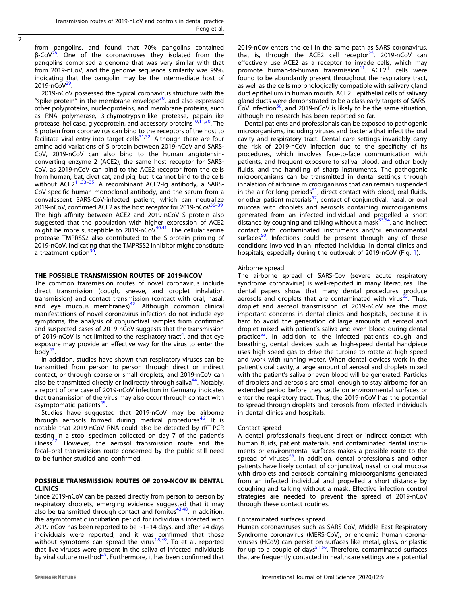$\overline{2}$ 

from pangolins, and found that 70% pangolins contained  $β$ -CoV<sup>28</sup>. One of the coronaviruses they isolated from the pangolins comprised a genome that was very similar with that from 2019-nCoV, and the genome sequence similarity was 99%, indicating that the pangolin may be the intermediate host of  $2019 - n \text{CoV}^{29}$ .

2019-nCoV possessed the typical coronavirus structure with the "spike protein" in the membrane envelope<sup>30</sup>, and also expressed other polyproteins, nucleoproteins, and membrane proteins, such as RNA polymerase, 3-chymotrypsin-like protease, papain-like protease, helicase, glycoprotein, and accessory proteins<sup>[10](#page-4-0),[11](#page-4-0),30</sup>. The S protein from coronavirus can bind to the receptors of the host to  $5$  procent from the continuum of  $2\pi$  and  $\frac{1}{2}$ ,  $\frac{3}{3}$ . Although there are four amino acid variations of S protein between 2019-nCoV and SARS-CoV, 2019-nCoV can also bind to the human angiotensinconverting enzyme 2 (ACE2), the same host receptor for SARS-CoV, as 2019-nCoV can bind to the ACE2 receptor from the cells from human, bat, civet cat, and pig, but it cannot bind to the cells without ACE2<sup>[11,33](#page-4-0)-[35](#page-4-0)</sup>. A recombinant ACE2-Ig antibody, a SARS-CoV-specific human monoclonal antibody, and the serum from a convalescent SARS-CoV-infected patient, which can neutralize 2019-nCoV, confirmed ACE2 as the host receptor for 2019-nCoV<sup>36-39</sup> The high affinity between ACE2 and 2019-nCoV S protein also suggested that the population with higher expression of ACE2 might be more susceptible to 2019-nCoV $40,41$ . The cellular serine protease TMPRSS2 also contributed to the S-protein priming of 2019-nCoV, indicating that the TMPRSS2 inhibitor might constitute a treatment option $36$ .

The common transmission routes of novel coronavirus include direct transmission (cough, sneeze, and droplet inhalation transmission) and contact transmission (contact with oral, nasal, and eye mucous membranes) $42$ . Although common clinical manifestations of novel coronavirus infection do not include eye symptoms, the analysis of conjunctival samples from confirmed and suspected cases of 2019-nCoV suggests that the transmission of 2019-nCoV is not limited to the respiratory tract<sup>[4](#page-4-0)</sup>, and that eye exposure may provide an effective way for the virus to enter the  $body<sup>43</sup>$ .

In addition, studies have shown that respiratory viruses can be transmitted from person to person through direct or indirect contact, or through coarse or small droplets, and 2019-nCoV can also be transmitted directly or indirectly through saliva<sup>44</sup>. Notably, a report of one case of 2019-nCoV infection in Germany indicates that transmission of the virus may also occur through contact with asymptomatic patients<sup>[45](#page-5-0)</sup>.

Studies have suggested that 2019-nCoV may be airborne through aerosols formed during medical procedures<sup>[46](#page-5-0)</sup>. It is notable that 2019-nCoV RNA could also be detected by rRT-PCR testing in a stool specimen collected on day 7 of the patient's illness<sup>47</sup>. However, the aerosol transmission route and the fecal–oral transmission route concerned by the public still need to be further studied and confirmed.

# POSSIBLE TRANSMISSION ROUTES OF 2019-NCOV IN DENTAL

Since 2019-nCoV can be passed directly from person to person by respiratory droplets, emerging evidence suggested that it may also be transmitted through contact and fomites<sup>43,48</sup>. In addition, the asymptomatic incubation period for individuals infected with 2019-nCov has been reported to be ~1–14 days, and after 24 days individuals were reported, and it was confirmed that those without symptoms can spread the virus $4,5,49$  $4,5,49$  $4,5,49$  $4,5,49$ . To et al. reported that live viruses were present in the saliva of infected individuals by viral culture method<sup>[43](#page-5-0)</sup>. Furthermore, it has been confirmed that 2019-nCov enters the cell in the same path as SARS coronavirus, that is, through the ACE2 cell receptor $25$ . 2019-nCoV can effectively use ACE2 as a receptor to invade cells, which may promote human-to-human transmission $11$ . ACE2<sup>+</sup> cells were found to be abundantly present throughout the respiratory tract, as well as the cells morphologically compatible with salivary gland duct epithelium in human mouth.  $ACE2^+$  epithelial cells of salivary gland ducts were demonstrated to be a class early targets of SARS-CoV infection<sup>50</sup>, and 2019-nCoV is likely to be the same situation, although no research has been reported so far.

Dental patients and professionals can be exposed to pathogenic microorganisms, including viruses and bacteria that infect the oral cavity and respiratory tract. Dental care settings invariably carry the risk of 2019-nCoV infection due to the specificity of its procedures, which involves face-to-face communication with patients, and frequent exposure to saliva, blood, and other body fluids, and the handling of sharp instruments. The pathogenic microorganisms can be transmitted in dental settings through inhalation of airborne microorganisms that can remain suspended in the air for long periods<sup>51</sup>, direct contact with blood, oral fluids, or other patient materials<sup>52</sup>, contact of conjunctival, nasal, or oral mucosa with droplets and aerosols containing microorganisms generated from an infected individual and propelled a short distance by coughing and talking without a mask $53,54$  $53,54$ , and indirect contact with contaminated instruments and/or environmental surfaces<sup>[50](#page-5-0)</sup>. Infections could be present through any of these conditions involved in an infected individual in dental clinics and hospitals, especially during the outbreak of 2019-nCoV (Fig. [1\)](#page-2-0).

#### Airborne spread

The airborne spread of SARS-Cov (severe acute respiratory syndrome coronavirus) is well-reported in many literatures. The dental papers show that many dental procedures produce aerosols and droplets that are contaminated with virus<sup>[55](#page-5-0)</sup>. Thus, droplet and aerosol transmission of 2019-nCoV are the most important concerns in dental clinics and hospitals, because it is hard to avoid the generation of large amounts of aerosol and droplet mixed with patient's saliva and even blood during dental practice<sup>53</sup>. In addition to the infected patient's cough and breathing, dental devices such as high-speed dental handpiece uses high-speed gas to drive the turbine to rotate at high speed and work with running water. When dental devices work in the patient's oral cavity, a large amount of aerosol and droplets mixed with the patient's saliva or even blood will be generated. Particles of droplets and aerosols are small enough to stay airborne for an extended period before they settle on environmental surfaces or enter the respiratory tract. Thus, the 2019-nCoV has the potential to spread through droplets and aerosols from infected individuals in dental clinics and hospitals.

#### Contact spread

A dental professional's frequent direct or indirect contact with human fluids, patient materials, and contaminated dental instruments or environmental surfaces makes a possible route to the spread of viruses $53$ . In addition, dental professionals and other patients have likely contact of conjunctival, nasal, or oral mucosa with droplets and aerosols containing microorganisms generated from an infected individual and propelled a short distance by coughing and talking without a mask. Effective infection control strategies are needed to prevent the spread of 2019-nCoV through these contact routines.

# Contaminated surfaces spread

Human coronaviruses such as SARS-CoV, Middle East Respiratory Syndrome coronavirus (MERS-CoV), or endemic human coronaviruses (HCoV) can persist on surfaces like metal, glass, or plastic for up to a couple of days $51,56$ . Therefore, contaminated surfaces that are frequently contacted in healthcare settings are a potential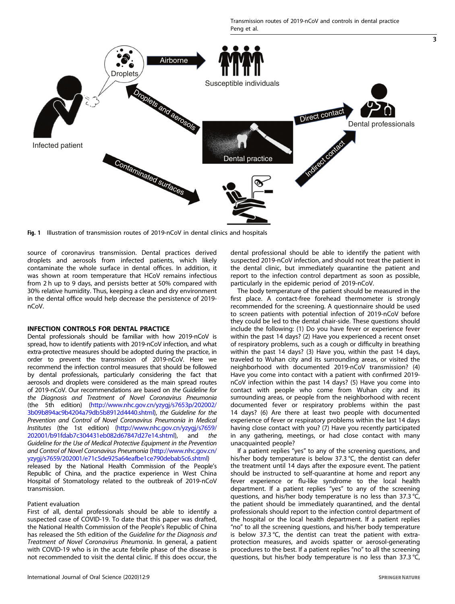3

<span id="page-2-0"></span>

Fig. 1 Illustration of transmission routes of 2019-nCoV in dental clinics and hospitals

source of coronavirus transmission. Dental practices derived droplets and aerosols from infected patients, which likely contaminate the whole surface in dental offices. In addition, it was shown at room temperature that HCoV remains infectious from 2 h up to 9 days, and persists better at 50% compared with 30% relative humidity. Thus, keeping a clean and dry environment in the dental office would help decrease the persistence of 2019 nCoV.

Dental professionals should be familiar with how 2019-nCoV is spread, how to identify patients with 2019-nCoV infection, and what extra-protective measures should be adopted during the practice, in order to prevent the transmission of 2019-nCoV. Here we recommend the infection control measures that should be followed by dental professionals, particularly considering the fact that aerosols and droplets were considered as the main spread routes of 2019-nCoV. Our recommendations are based on the Guideline for the Diagnosis and Treatment of Novel Coronavirus Pneumonia (the 5th edition) ([http://www.nhc.gov.cn/yzygj/s7653p/202002/](http://www.nhc.gov.cn/yzygj/s7653p/202002/3b09b894ac9b4204a79db5b8912d4440.shtml) [3b09b894ac9b4204a79db5b8912d4440.shtml\)](http://www.nhc.gov.cn/yzygj/s7653p/202002/3b09b894ac9b4204a79db5b8912d4440.shtml), the Guideline for the Prevention and Control of Novel Coronavirus Pneumonia in Medical Institutes (the 1st edition) [\(http://www.nhc.gov.cn/yzygj/s7659/](http://www.nhc.gov.cn/yzygj/s7659/202001/b91fdab7c304431eb082d67847d27e14.shtml) [202001/b91fdab7c304431eb082d67847d27e14.shtml\)](http://www.nhc.gov.cn/yzygj/s7659/202001/b91fdab7c304431eb082d67847d27e14.shtml), and the Guideline for the Use of Medical Protective Equipment in the Prevention and Control of Novel Coronavirus Pneumonia ([http://www.nhc.gov.cn/](http://www.nhc.gov.cn/yzygj/s7659/202001/e71c5de925a64eafbe1ce790debab5c6.shtml) [yzygj/s7659/202001/e71c5de925a64eafbe1ce790debab5c6.shtml\)](http://www.nhc.gov.cn/yzygj/s7659/202001/e71c5de925a64eafbe1ce790debab5c6.shtml)

released by the National Health Commission of the People's Republic of China, and the practice experience in West China Hospital of Stomatology related to the outbreak of 2019-nCoV transmission.

# Patient evaluation

First of all, dental professionals should be able to identify a suspected case of COVID-19. To date that this paper was drafted, the National Health Commission of the People's Republic of China has released the 5th edition of the Guideline for the Diagnosis and Treatment of Novel Coronavirus Pneumonia. In general, a patient with COVID-19 who is in the acute febrile phase of the disease is not recommended to visit the dental clinic. If this does occur, the dental professional should be able to identify the patient with suspected 2019-nCoV infection, and should not treat the patient in the dental clinic, but immediately quarantine the patient and report to the infection control department as soon as possible, particularly in the epidemic period of 2019-nCoV.

The body temperature of the patient should be measured in the first place. A contact-free forehead thermometer is strongly recommended for the screening. A questionnaire should be used to screen patients with potential infection of 2019-nCoV before they could be led to the dental chair-side. These questions should include the following: (1) Do you have fever or experience fever within the past 14 days? (2) Have you experienced a recent onset of respiratory problems, such as a cough or difficulty in breathing within the past 14 days? (3) Have you, within the past 14 days, traveled to Wuhan city and its surrounding areas, or visited the neighborhood with documented 2019-nCoV transmission? (4) Have you come into contact with a patient with confirmed 2019 nCoV infection within the past 14 days? (5) Have you come into contact with people who come from Wuhan city and its surrounding areas, or people from the neighborhood with recent documented fever or respiratory problems within the past 14 days? (6) Are there at least two people with documented experience of fever or respiratory problems within the last 14 days having close contact with you? (7) Have you recently participated in any gathering, meetings, or had close contact with many unacquainted people?

If a patient replies "yes" to any of the screening questions, and his/her body temperature is below 37.3 °C, the dentist can defer the treatment until 14 days after the exposure event. The patient should be instructed to self-quarantine at home and report any fever experience or flu-like syndrome to the local health department. If a patient replies "yes" to any of the screening questions, and his/her body temperature is no less than 37.3 °C, the patient should be immediately quarantined, and the dental professionals should report to the infection control department of the hospital or the local health department. If a patient replies "no" to all the screening questions, and his/her body temperature is below 37.3 °C, the dentist can treat the patient with extraprotection measures, and avoids spatter or aerosol-generating procedures to the best. If a patient replies "no" to all the screening questions, but his/her body temperature is no less than 37.3 °C,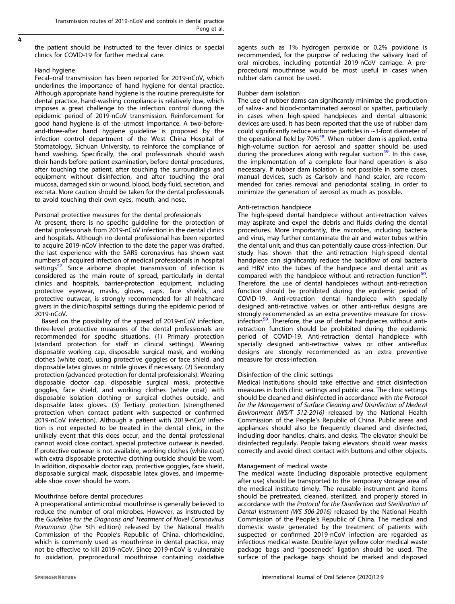4

the patient should be instructed to the fever clinics or special clinics for COVID-19 for further medical care.

## Hand hygiene

Fecal–oral transmission has been reported for 2019-nCoV, which underlines the importance of hand hygiene for dental practice. Although appropriate hand hygiene is the routine prerequisite for dental practice, hand-washing compliance is relatively low, which imposes a great challenge to the infection control during the epidemic period of 2019-nCoV transmission. Reinforcement for good hand hygiene is of the utmost importance. A two-beforeand-three-after hand hygiene guideline is proposed by the infection control department of the West China Hospital of Stomatology, Sichuan University, to reinforce the compliance of hand washing. Specifically, the oral professionals should wash their hands before patient examination, before dental procedures, after touching the patient, after touching the surroundings and equipment without disinfection, and after touching the oral mucosa, damaged skin or wound, blood, body fluid, secretion, and excreta. More caution should be taken for the dental professionals to avoid touching their own eyes, mouth, and nose.

# Personal protective measures for the dental professionals

At present, there is no specific guideline for the protection of dental professionals from 2019-nCoV infection in the dental clinics and hospitals. Although no dental professional has been reported to acquire 2019-nCoV infection to the date the paper was drafted, the last experience with the SARS coronavirus has shown vast numbers of acquired infection of medical professionals in hospital settings<sup>57</sup>. Since airborne droplet transmission of infection is considered as the main route of spread, particularly in dental clinics and hospitals, barrier-protection equipment, including protective eyewear, masks, gloves, caps, face shields, and protective outwear, is strongly recommended for all healthcare givers in the clinic/hospital settings during the epidemic period of 2019-nCoV.

Based on the possibility of the spread of 2019-nCoV infection, three-level protective measures of the dental professionals are recommended for specific situations. (1) Primary protection (standard protection for staff in clinical settings). Wearing disposable working cap, disposable surgical mask, and working clothes (white coat), using protective goggles or face shield, and disposable latex gloves or nitrile gloves if necessary. (2) Secondary protection (advanced protection for dental professionals). Wearing disposable doctor cap, disposable surgical mask, protective goggles, face shield, and working clothes (white coat) with disposable isolation clothing or surgical clothes outside, and disposable latex gloves. (3) Tertiary protection (strengthened protection when contact patient with suspected or confirmed 2019-nCoV infection). Although a patient with 2019-nCoV infection is not expected to be treated in the dental clinic, in the unlikely event that this does occur, and the dental professional cannot avoid close contact, special protective outwear is needed. If protective outwear is not available, working clothes (white coat) with extra disposable protective clothing outside should be worn. In addition, disposable doctor cap, protective goggles, face shield, disposable surgical mask, disposable latex gloves, and impermeable shoe cover should be worn.

# Mouthrinse before dental procedures

A preoperational antimicrobial mouthrinse is generally believed to reduce the number of oral microbes. However, as instructed by the Guideline for the Diagnosis and Treatment of Novel Coronavirus Pneumonia (the 5th edition) released by the National Health Commission of the People's Republic of China, chlorhexidine, which is commonly used as mouthrinse in dental practice, may not be effective to kill 2019-nCoV. Since 2019-nCoV is vulnerable to oxidation, preprocedural mouthrinse containing oxidative agents such as 1% hydrogen peroxide or 0.2% povidone is recommended, for the purpose of reducing the salivary load of oral microbes, including potential 2019-nCoV carriage. A preprocedural mouthrinse would be most useful in cases when rubber dam cannot be used.

# Rubber dam isolation

The use of rubber dams can significantly minimize the production of saliva- and blood-contaminated aerosol or spatter, particularly in cases when high-speed handpieces and dental ultrasonic devices are used. It has been reported that the use of rubber dam could significantly reduce airborne particles in ~3-foot diameter of the operational field by  $70\%$ <sup>58</sup>. When rubber dam is applied, extra high-volume suction for aerosol and spatter should be used during the procedures along with regular suction<sup>59</sup>. In this case, the implementation of a complete four-hand operation is also necessary. If rubber dam isolation is not possible in some cases, manual devices, such as Carisolv and hand scaler, are recommended for caries removal and periodontal scaling, in order to minimize the generation of aerosol as much as possible.

# Anti-retraction handpiece

The high-speed dental handpiece without anti-retraction valves may aspirate and expel the debris and fluids during the dental procedures. More importantly, the microbes, including bacteria and virus, may further contaminate the air and water tubes within the dental unit, and thus can potentially cause cross-infection. Our study has shown that the anti-retraction high-speed dental handpiece can significantly reduce the backflow of oral bacteria and HBV into the tubes of the handpiece and dental unit as compared with the handpiece without anti-retraction function<sup>60</sup>. Therefore, the use of dental handpieces without anti-retraction function should be prohibited during the epidemic period of COVID-19. Anti-retraction dental handpiece with specially designed anti-retractive valves or other anti-reflux designs are strongly recommended as an extra preventive measure for crossinfection $59$ . Therefore, the use of dental handpieces without antiretraction function should be prohibited during the epidemic period of COVID-19. Anti-retraction dental handpiece with specially designed anti-retractive valves or other anti-reflux designs are strongly recommended as an extra preventive measure for cross-infection.

# Disinfection of the clinic settings

Medical institutions should take effective and strict disinfection measures in both clinic settings and public area. The clinic settings should be cleaned and disinfected in accordance with the Protocol for the Management of Surface Cleaning and Disinfection of Medical Environment (WS/T 512-2016) released by the National Health Commission of the People's Republic of China. Public areas and appliances should also be frequently cleaned and disinfected, including door handles, chairs, and desks. The elevator should be disinfected regularly. People taking elevators should wear masks correctly and avoid direct contact with buttons and other objects.

# Management of medical waste

The medical waste (including disposable protective equipment after use) should be transported to the temporary storage area of the medical institute timely. The reusable instrument and items should be pretreated, cleaned, sterilized, and properly stored in accordance with the Protocol for the Disinfection and Sterilization of Dental Instrument (WS 506-2016) released by the National Health Commission of the People's Republic of China. The medical and domestic waste generated by the treatment of patients with suspected or confirmed 2019-nCoV infection are regarded as infectious medical waste. Double-layer yellow color medical waste package bags and "gooseneck" ligation should be used. The surface of the package bags should be marked and disposed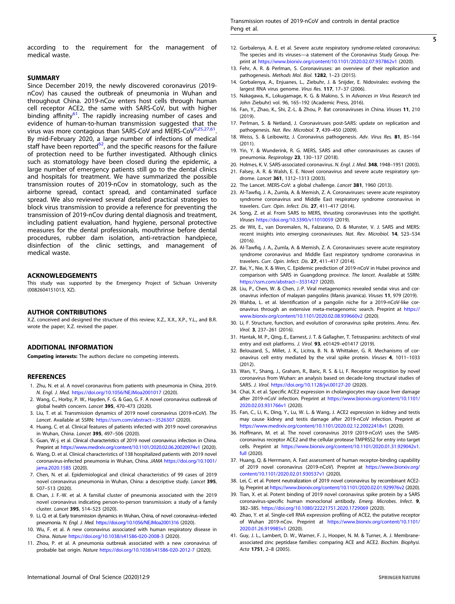# <span id="page-4-0"></span>**SUMMARY**

Since December 2019, the newly discovered coronavirus (2019nCov) has caused the outbreak of pneumonia in Wuhan and throughout China. 2019-nCov enters host cells through human cell receptor ACE2, the same with SARS-CoV, but with higher binding affinity<sup>61</sup>. The rapidly increasing number of cases and evidence of human-to-human transmission suggested that the virus was more contagious than SARS-CoV and MERS-CoV9,25,27[,61](#page-5-0). By mid-February 2020, a large number of infections of medical staff have been reported<sup>62</sup>, and the specific reasons for the failure of protection need to be further investigated. Although clinics such as stomatology have been closed during the epidemic, a large number of emergency patients still go to the dental clinics and hospitals for treatment. We have summarized the possible transmission routes of 2019-nCov in stomatology, such as the airborne spread, contact spread, and contaminated surface spread. We also reviewed several detailed practical strategies to block virus transmission to provide a reference for preventing the transmission of 2019-nCov during dental diagnosis and treatment, including patient evaluation, hand hygiene, personal protective measures for the dental professionals, mouthrinse before dental procedures, rubber dam isolation, anti-retraction handpiece, disinfection of the clinic settings, and management of medical waste.

This study was supported by the Emergency Project of Sichuan University (0082604151013, XZ).

X.Z. conceived and designed the structure of this review; X.Z., X.X., X.P., Y.L., and B.R. wrote the paper; X.Z. revised the paper.

**Competing interests:** The authors declare no competing interests.

#### **REFERENCES**

- 1. Zhu, N. et al. A novel coronavirus from patients with pneumonia in China, 2019. N. Engl. J. Med. <https://doi.org/10.1056/NEJMoa2001017> (2020).
- 2. Wang, C., Horby, P. W., Hayden, F. G. & Gao, G. F. A novel coronavirus outbreak of global health concern. Lancet 395, 470-473 (2020).
- 3. Liu, T. et al. Transmission dynamics of 2019 novel coronavirus (2019-nCoV). The Lancet. Available at SSRN: [https://ssrn.com/abstract](https://ssrn.com/abstract=3526307)=3526307 (2020).
- 4. Huang, C. et al. Clinical features of patients infected with 2019 novel coronavirus in Wuhan, China. Lancet 395, 497–506 (2020).
- 5. Guan, W.-j. et al. Clinical characteristics of 2019 novel coronavirus infection in China. Preprint at <https://www.medrxiv.org/content/10.1101/2020.02.06.20020974v1> (2020).
- 6. Wang, D. et al. Clinical characteristics of 138 hospitalized patients with 2019 novel coronavirus-infected pneumonia in Wuhan, China. JAMA [https://doi.org/10.1001/](https://doi.org/10.1001/jama.2020.1585) [jama.2020.1585](https://doi.org/10.1001/jama.2020.1585) (2020).
- 7. Chen, N. et al. Epidemiological and clinical characteristics of 99 cases of 2019 novel coronavirus pneumonia in Wuhan, China: a descriptive study. Lancet 395, 507–513 (2020).
- 8. Chan, J. F.-W. et al. A familial cluster of pneumonia associated with the 2019 novel coronavirus indicating person-to-person transmission: a study of a family cluster. Lancet 395, 514–523 (2020).
- 9. Li, Q. et al. Early transmission dynamics in Wuhan, China, of novel coronavirus–infected pneumonia. N. Engl. J. Med. <https://doi.org/10.1056/NEJMoa2001316> (2020).
- 10. Wu, F. et al. A new coronavirus associated with human respiratory disease in China. Nature <https://doi.org/10.1038/s41586-020-2008-3> (2020).
- 11. Zhou, P. et al. A pneumonia outbreak associated with a new coronavirus of probable bat origin. Nature <https://doi.org/10.1038/s41586-020-2012-7> (2020).
- 12. Gorbalenya, A. E. et al. Severe acute respiratory syndrome-related coronavirus: The species and its viruses—a statement of the Coronavirus Study Group. Preprint at <https://www.biorxiv.org/content/10.1101/2020.02.07.937862v1> (2020).
- 13. Fehr, A. R. & Perlman, S. Coronaviruses: an overview of their replication and pathogenesis. Methods Mol. Biol. 1282, 1–23 (2015).
- 14. Gorbalenya, A., Enjuanes, L., Ziebuhr, J. & Snijder, E. Nidovirales: evolving the largest RNA virus genome. Virus Res. 117, 17-37 (2006).
- 15. Nakagawa, K., Lokugamage, K. G. & Makino, S. in Advances in Virus Research (ed John Ziebuhr) vol. 96, 165–192 (Academic Press, 2016).
- 16. Fan, Y., Zhao, K., Shi, Z.-L. & Zhou, P. Bat coronaviruses in China. Viruses 11, 210 (2019).
- 17. Perlman, S. & Netland, J. Coronaviruses post-SARS: update on replication and pathogenesis. Nat. Rev. Microbiol. 7, 439–450 (2009).
- 18. Weiss, S. & Leibowitz, J. Coronavirus pathogenesis. Adv. Virus Res. 81, 85–<sup>164</sup> (2011).
- 19. Yin, Y. & Wunderink, R. G. MERS, SARS and other coronaviruses as causes of pneumonia. Respirology 23, 130–137 (2018).
- 20. Holmes, K. V. SARS-associated coronavirus. N. Engl. J. Med. 348, 1948-1951 (2003).
- 21. Falsey, A. R. & Walsh, E. E. Novel coronavirus and severe acute respiratory syndrome. Lancet 361, 1312–1313 (2003).
- 22. The Lancet. MERS-CoV: a global challenge. Lancet 381, 1960 (2013).
- 23. Al-Tawfiq, J. A., Zumla, A. & Memish, Z. A. Coronaviruses: severe acute respiratory syndrome coronavirus and Middle East respiratory syndrome coronavirus in travelers. Curr. Opin. Infect. Dis. 27, 411–417 (2014).
- 24. Song, Z. et al. From SARS to MERS, thrusting coronaviruses into the spotlight. Viruses <https://doi.org/10.3390/v11010059> (2019).
- 25. de Wit, E., van Doremalen, N., Falzarano, D. & Munster, V. J. SARS and MERS: recent insights into emerging coronaviruses. Nat. Rev. Microbiol. 14, 523–<sup>534</sup> (2016).
- 26. Al-Tawfiq, J. A., Zumla, A. & Memish, Z. A. Coronaviruses: severe acute respiratory syndrome coronavirus and Middle East respiratory syndrome coronavirus in travelers. Curr. Opin. Infect. Dis. 27, 411–417 (2014).
- 27. Bai, Y., Nie, X. & Wen, C. Epidemic prediction of 2019-nCoV in Hubei province and comparison with SARS in Guangdong province. The lancet. Available at SSRN: [https://ssrn.com/abstract](https://ssrn.com/abstract=3531427)=3531427 (2020).
- 28. Liu, P., Chen, W. & Chen, J.-P. Viral metagenomics revealed sendai virus and coronavirus infection of malayan pangolins (Manis javanica). Viruses 11, 979 (2019).
- 29. Wahba, L. et al. Identification of a pangolin niche for a 2019-nCoV-like coronavirus through an extensive meta-metagenomic search. Preprint at [https://](https://www.biorxiv.org/content/10.1101/2020.02.08.939660v2) [www.biorxiv.org/content/10.1101/2020.02.08.939660v2](https://www.biorxiv.org/content/10.1101/2020.02.08.939660v2) (2020).
- 30. Li, F. Structure, function, and evolution of coronavirus spike proteins. Annu. Rev. Virol. 3, 237–261 (2016).
- 31. Hantak, M. P., Qing, E., Earnest, J. T. & Gallagher, T. Tetraspanins: architects of viral entry and exit platforms. J. Virol. <sup>93</sup>, e01429–e01417 (2019).
- 32. Belouzard, S., Millet, J. K., Licitra, B. N. & Whittaker, G. R. Mechanisms of coronavirus cell entry mediated by the viral spike protein. Viruses 4, 1011–<sup>1033</sup> (2012).
- 33. Wan, Y., Shang, J., Graham, R., Baric, R. S. & Li, F. Receptor recognition by novel coronavirus from Wuhan: an analysis based on decade-long structural studies of SARS. J. Virol. <https://doi.org/10.1128/jvi.00127-20> (2020).
- 34. Chai, X. et al. Specific ACE2 expression in cholangiocytes may cause liver damage after 2019-nCoV infection. Preprint at [https://www.biorxiv.org/content/10.1101/](https://www.biorxiv.org/content/10.1101/2020.02.03.931766v1) [2020.02.03.931766v1](https://www.biorxiv.org/content/10.1101/2020.02.03.931766v1) (2020).
- 35. Fan, C., Li, K., Ding, Y., Lu, W. L. & Wang, J. ACE2 expression in kidney and testis may cause kidney and testis damage after 2019-nCoV infection. Preprint at <https://www.medrxiv.org/content/10.1101/2020.02.12.20022418v1> (2020).
- 36. Hoffmann, M. et al. The novel coronavirus 2019 (2019-nCoV) uses the SARScoronavirus receptor ACE2 and the cellular protease TMPRSS2 for entry into target cells. Preprint at [https://www.biorxiv.org/content/10.1101/2020.01.31.929042v1.](https://www.biorxiv.org/content/10.1101/2020.01.31.929042v1.full) [full](https://www.biorxiv.org/content/10.1101/2020.01.31.929042v1.full) (2020).
- 37. Huang, Q. & Herrmann, A. Fast assessment of human receptor-binding capability of 2019 novel coronavirus (2019-nCoV). Preprint at [https://www.biorxiv.org/](https://www.biorxiv.org/content/10.1101/2020.02.01.930537v1) [content/10.1101/2020.02.01.930537v1](https://www.biorxiv.org/content/10.1101/2020.02.01.930537v1) (2020).
- 38. Lei, C. et al. Potent neutralization of 2019 novel coronavirus by recombinant ACE2- Ig. Preprint at <https://www.biorxiv.org/content/10.1101/2020.02.01.929976v2> (2020).
- 39. Tian, X. et al. Potent binding of 2019 novel coronavirus spike protein by a SARS coronavirus-specific human monoclonal antibody. Emerg. Microbes. Infect. 9, 382–385. <https://doi.org/10.1080/22221751.2020.1729069> (2020).
- 40. Zhao, Y. et al. Single-cell RNA expression profiling of ACE2, the putative receptor of Wuhan 2019-nCov. Preprint at [https://www.biorxiv.org/content/10.1101/](https://www.biorxiv.org/content/10.1101/2020.01.26.919985v1) [2020.01.26.919985v1](https://www.biorxiv.org/content/10.1101/2020.01.26.919985v1) (2020).
- 41. Guy, J. L., Lambert, D. W., Warner, F. J., Hooper, N. M. & Turner, A. J. Membraneassociated zinc peptidase families: comparing ACE and ACE2. Biochim. Biophysi. Acta 1751, 2–8 (2005).